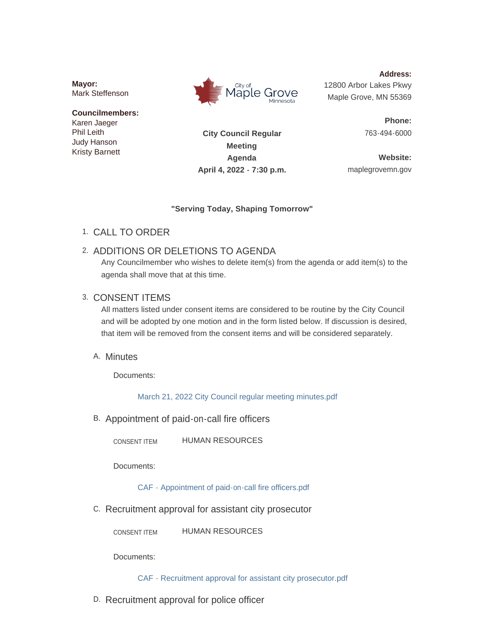**Mayor:** Mark Steffenson

#### **Councilmembers:** Karen Jaeger Phil Leith

Judy Hanson Kristy Barnett



**City Council Regular** 

**Address:** 12800 Arbor Lakes Pkwy Maple Grove, MN 55369

> **Phone:** 763-494-6000

**Meeting Agenda April 4, 2022 - 7:30 p.m.**

**Website:** maplegrovemn.gov

## **"Serving Today, Shaping Tomorrow"**

CALL TO ORDER 1.

# 2. ADDITIONS OR DELETIONS TO AGENDA

Any Councilmember who wishes to delete item(s) from the agenda or add item(s) to the agenda shall move that at this time.

# 3. CONSENT ITEMS

All matters listed under consent items are considered to be routine by the City Council and will be adopted by one motion and in the form listed below. If discussion is desired, that item will be removed from the consent items and will be considered separately.

# A. Minutes

Documents:

[March 21, 2022 City Council regular meeting minutes.pdf](https://www.maplegrovemn.gov/AgendaCenter/ViewFile/Item/1581?fileID=5919)

B. Appointment of paid-on-call fire officers

HUMAN RESOURCES CONSENT ITEM

Documents:

[CAF - Appointment of paid-on-call fire officers.pdf](https://www.maplegrovemn.gov/AgendaCenter/ViewFile/Item/1560?fileID=5869)

C. Recruitment approval for assistant city prosecutor

HUMAN RESOURCES CONSENT ITEM

Documents:

[CAF - Recruitment approval for assistant city prosecutor.pdf](https://www.maplegrovemn.gov/AgendaCenter/ViewFile/Item/1559?fileID=5870)

D. Recruitment approval for police officer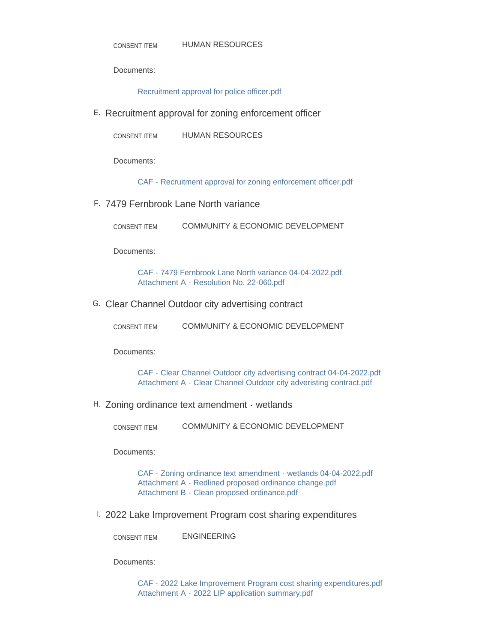Documents:

[Recruitment approval for police officer.pdf](https://www.maplegrovemn.gov/AgendaCenter/ViewFile/Item/1557?fileID=5846)

E. Recruitment approval for zoning enforcement officer

HUMAN RESOURCES CONSENT ITEM

Documents:

[CAF - Recruitment approval for zoning enforcement officer.pdf](https://www.maplegrovemn.gov/AgendaCenter/ViewFile/Item/1582?fileID=5920)

7479 Fernbrook Lane North variance F.

COMMUNITY & ECONOMIC DEVELOPMENT CONSENT ITEM

Documents:

[CAF - 7479 Fernbrook Lane North variance 04-04-2022.pdf](https://www.maplegrovemn.gov/AgendaCenter/ViewFile/Item/1564?fileID=5872) [Attachment A - Resolution No. 22-060.pdf](https://www.maplegrovemn.gov/AgendaCenter/ViewFile/Item/1564?fileID=5873)

G. Clear Channel Outdoor city advertising contract

| <b>CONSENT ITEM</b> |  |  | COMMUNITY & ECONOMIC DEVELOPMENT |
|---------------------|--|--|----------------------------------|
|---------------------|--|--|----------------------------------|

Documents:

[CAF - Clear Channel Outdoor city advertising contract 04-04-2022.pdf](https://www.maplegrovemn.gov/AgendaCenter/ViewFile/Item/1565?fileID=5874) [Attachment A - Clear Channel Outdoor city adveristing contract.pdf](https://www.maplegrovemn.gov/AgendaCenter/ViewFile/Item/1565?fileID=5875)

Zoning ordinance text amendment - wetlands H.

COMMUNITY & ECONOMIC DEVELOPMENT CONSENT ITEM

Documents:

[CAF - Zoning ordinance text amendment - wetlands 04-04-2022.pdf](https://www.maplegrovemn.gov/AgendaCenter/ViewFile/Item/1566?fileID=5876) [Attachment A - Redlined proposed ordinance change.pdf](https://www.maplegrovemn.gov/AgendaCenter/ViewFile/Item/1566?fileID=5877) [Attachment B - Clean proposed ordinance.pdf](https://www.maplegrovemn.gov/AgendaCenter/ViewFile/Item/1566?fileID=5878)

2022 Lake Improvement Program cost sharing expenditures I.

ENGINEERING CONSENT ITEM

Documents:

[CAF - 2022 Lake Improvement Program cost sharing expenditures.pdf](https://www.maplegrovemn.gov/AgendaCenter/ViewFile/Item/1572?fileID=5904) [Attachment A - 2022 LIP application summary.pdf](https://www.maplegrovemn.gov/AgendaCenter/ViewFile/Item/1572?fileID=5905)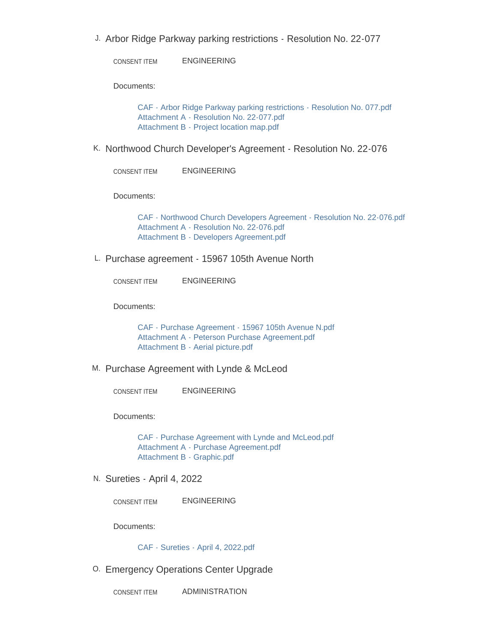J. Arbor Ridge Parkway parking restrictions - Resolution No. 22-077

ENGINEERING CONSENT ITEM

Documents:

[CAF - Arbor Ridge Parkway parking restrictions - Resolution No. 077.pdf](https://www.maplegrovemn.gov/AgendaCenter/ViewFile/Item/1576?fileID=5915) [Attachment A - Resolution No. 22-077.pdf](https://www.maplegrovemn.gov/AgendaCenter/ViewFile/Item/1576?fileID=5917) [Attachment B - Project location map.pdf](https://www.maplegrovemn.gov/AgendaCenter/ViewFile/Item/1576?fileID=5916)

K. Northwood Church Developer's Agreement - Resolution No. 22-076

ENGINEERING CONSENT ITEM

Documents:

[CAF - Northwood Church Developers Agreement - Resolution No. 22-076.pdf](https://www.maplegrovemn.gov/AgendaCenter/ViewFile/Item/1573?fileID=5908) [Attachment A - Resolution No. 22-076.pdf](https://www.maplegrovemn.gov/AgendaCenter/ViewFile/Item/1573?fileID=5906) [Attachment B - Developers Agreement.pdf](https://www.maplegrovemn.gov/AgendaCenter/ViewFile/Item/1573?fileID=5907)

L. Purchase agreement - 15967 105th Avenue North

ENGINEERING CONSENT ITEM

Documents:

[CAF - Purchase Agreement - 15967 105th Avenue N.pdf](https://www.maplegrovemn.gov/AgendaCenter/ViewFile/Item/1575?fileID=5912) [Attachment A - Peterson Purchase Agreement.pdf](https://www.maplegrovemn.gov/AgendaCenter/ViewFile/Item/1575?fileID=5914) [Attachment B - Aerial picture.pdf](https://www.maplegrovemn.gov/AgendaCenter/ViewFile/Item/1575?fileID=5913)

M. Purchase Agreement with Lynde & McLeod

ENGINEERING CONSENT ITEM

Documents:

[CAF - Purchase Agreement with Lynde and McLeod.pdf](https://www.maplegrovemn.gov/AgendaCenter/ViewFile/Item/1574?fileID=5911) [Attachment A - Purchase Agreement.pdf](https://www.maplegrovemn.gov/AgendaCenter/ViewFile/Item/1574?fileID=5910) [Attachment B - Graphic.pdf](https://www.maplegrovemn.gov/AgendaCenter/ViewFile/Item/1574?fileID=5909)

N. Sureties - April 4, 2022

ENGINEERING CONSENT ITEM

Documents:

[CAF - Sureties - April 4, 2022.pdf](https://www.maplegrovemn.gov/AgendaCenter/ViewFile/Item/1577?fileID=5918)

0. Emergency Operations Center Upgrade

ADMINISTRATION CONSENT ITEM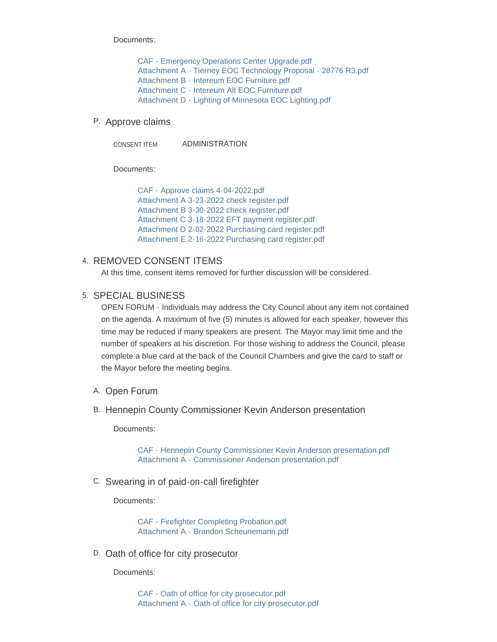Documents:

[CAF - Emergency Operations Center Upgrade.pdf](https://www.maplegrovemn.gov/AgendaCenter/ViewFile/Item/1562?fileID=5941) [Attachment A - Tierney EOC Technology Proposal - 28776 R3.pdf](https://www.maplegrovemn.gov/AgendaCenter/ViewFile/Item/1562?fileID=5851) [Attachment B - Intereum EOC Furniture.pdf](https://www.maplegrovemn.gov/AgendaCenter/ViewFile/Item/1562?fileID=5852) [Attachment C - Intereum Alt EOC Furniture.pdf](https://www.maplegrovemn.gov/AgendaCenter/ViewFile/Item/1562?fileID=5853) [Attachment D - Lighting of Minnesota EOC Lighting.pdf](https://www.maplegrovemn.gov/AgendaCenter/ViewFile/Item/1562?fileID=5854)

#### P. Approve claims

ADMINISTRATION CONSENT ITEM

Documents:

[CAF - Approve claims 4-04-2022.pdf](https://www.maplegrovemn.gov/AgendaCenter/ViewFile/Item/1612?fileID=5931) [Attachment A 3-23-2022 check register.pdf](https://www.maplegrovemn.gov/AgendaCenter/ViewFile/Item/1612?fileID=5930) [Attachment B 3-30-2022 check register.pdf](https://www.maplegrovemn.gov/AgendaCenter/ViewFile/Item/1612?fileID=5926) [Attachment C 3-18-2022 EFT payment register.pdf](https://www.maplegrovemn.gov/AgendaCenter/ViewFile/Item/1612?fileID=5927) [Attachment D 2-02-2022 Purchasing card register.pdf](https://www.maplegrovemn.gov/AgendaCenter/ViewFile/Item/1612?fileID=5928) [Attachment E 2-16-2022 Purchasing card register.pdf](https://www.maplegrovemn.gov/AgendaCenter/ViewFile/Item/1612?fileID=5929)

### 4. REMOVED CONSENT ITEMS

At this time, consent items removed for further discussion will be considered.

#### 5. SPECIAL BUSINESS

OPEN FORUM - Individuals may address the City Council about any item not contained on the agenda. A maximum of five (5) minutes is allowed for each speaker, however this time may be reduced if many speakers are present. The Mayor may limit time and the number of speakers at his discretion. For those wishing to address the Council, please complete a blue card at the back of the Council Chambers and give the card to staff or the Mayor before the meeting begins.

- A. Open Forum
- B. Hennepin County Commissioner Kevin Anderson presentation

Documents:

[CAF - Hennepin County Commissioner Kevin Anderson presentation.pdf](https://www.maplegrovemn.gov/AgendaCenter/ViewFile/Item/1537?fileID=5711) [Attachment A - Commissioner Anderson presentation.pdf](https://www.maplegrovemn.gov/AgendaCenter/ViewFile/Item/1537?fileID=5710)

Swearing in of paid-on-call firefighter C.

Documents:

[CAF - Firefighter Completing Probation.pdf](https://www.maplegrovemn.gov/AgendaCenter/ViewFile/Item/1609?fileID=5922) [Attachment A - Brandon Scheunemann.pdf](https://www.maplegrovemn.gov/AgendaCenter/ViewFile/Item/1609?fileID=5921)

D. Oath of office for city prosecutor

Documents:

[CAF - Oath of office for city prosecutor.pdf](https://www.maplegrovemn.gov/AgendaCenter/ViewFile/Item/1540?fileID=5732) [Attachment A - Oath of office for city prosecutor.pdf](https://www.maplegrovemn.gov/AgendaCenter/ViewFile/Item/1540?fileID=5731)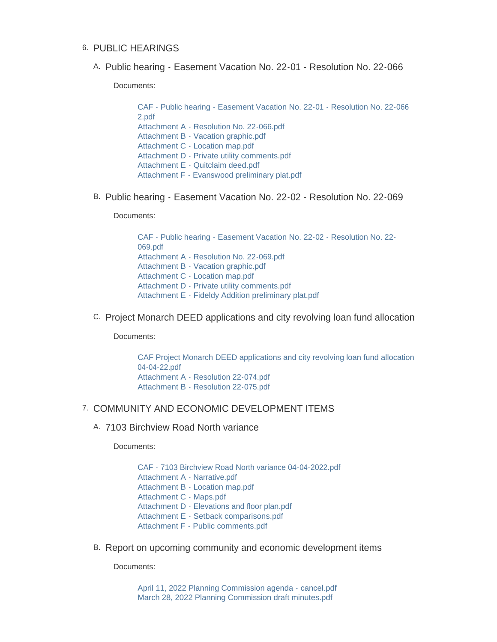### 6. PUBLIC HEARINGS

A. Public hearing - Easement Vacation No. 22-01 - Resolution No. 22-066

Documents:

[CAF - Public hearing - Easement Vacation No. 22-01 - Resolution No. 22-066](https://www.maplegrovemn.gov/AgendaCenter/ViewFile/Item/1569?fileID=5888)  2.pdf [Attachment A - Resolution No. 22-066.pdf](https://www.maplegrovemn.gov/AgendaCenter/ViewFile/Item/1569?fileID=5893) [Attachment B - Vacation graphic.pdf](https://www.maplegrovemn.gov/AgendaCenter/ViewFile/Item/1569?fileID=5894) [Attachment C - Location map.pdf](https://www.maplegrovemn.gov/AgendaCenter/ViewFile/Item/1569?fileID=5889) [Attachment D - Private utility comments.pdf](https://www.maplegrovemn.gov/AgendaCenter/ViewFile/Item/1569?fileID=5890) [Attachment E - Quitclaim deed.pdf](https://www.maplegrovemn.gov/AgendaCenter/ViewFile/Item/1569?fileID=5891) [Attachment F - Evanswood preliminary plat.pdf](https://www.maplegrovemn.gov/AgendaCenter/ViewFile/Item/1569?fileID=5892)

B. Public hearing - Easement Vacation No. 22-02 - Resolution No. 22-069

Documents:

[CAF - Public hearing - Easement Vacation No. 22-02 - Resolution No. 22-](https://www.maplegrovemn.gov/AgendaCenter/ViewFile/Item/1570?fileID=5895) 069.pdf [Attachment A - Resolution No. 22-069.pdf](https://www.maplegrovemn.gov/AgendaCenter/ViewFile/Item/1570?fileID=5899) [Attachment B - Vacation graphic.pdf](https://www.maplegrovemn.gov/AgendaCenter/ViewFile/Item/1570?fileID=5900) [Attachment C - Location map.pdf](https://www.maplegrovemn.gov/AgendaCenter/ViewFile/Item/1570?fileID=5896) [Attachment D - Private utility comments.pdf](https://www.maplegrovemn.gov/AgendaCenter/ViewFile/Item/1570?fileID=5897) [Attachment E - Fideldy Addition preliminary plat.pdf](https://www.maplegrovemn.gov/AgendaCenter/ViewFile/Item/1570?fileID=5898)

C. Project Monarch DEED applications and city revolving loan fund allocation

Documents:

[CAF Project Monarch DEED applications and city revolving loan fund allocation](https://www.maplegrovemn.gov/AgendaCenter/ViewFile/Item/1541?fileID=5740)  04-04-22.pdf [Attachment A - Resolution 22-074.pdf](https://www.maplegrovemn.gov/AgendaCenter/ViewFile/Item/1541?fileID=5738) [Attachment B - Resolution 22-075.pdf](https://www.maplegrovemn.gov/AgendaCenter/ViewFile/Item/1541?fileID=5739)

### 7. COMMUNITY AND ECONOMIC DEVELOPMENT ITEMS

7103 Birchview Road North variance A.

Documents:

[CAF - 7103 Birchview Road North variance 04-04-2022.pdf](https://www.maplegrovemn.gov/AgendaCenter/ViewFile/Item/1567?fileID=5879) [Attachment A - Narrative.pdf](https://www.maplegrovemn.gov/AgendaCenter/ViewFile/Item/1567?fileID=5880) [Attachment B - Location map.pdf](https://www.maplegrovemn.gov/AgendaCenter/ViewFile/Item/1567?fileID=5881) [Attachment C - Maps.pdf](https://www.maplegrovemn.gov/AgendaCenter/ViewFile/Item/1567?fileID=5882) [Attachment D - Elevations and floor plan.pdf](https://www.maplegrovemn.gov/AgendaCenter/ViewFile/Item/1567?fileID=5883) [Attachment E - Setback comparisons.pdf](https://www.maplegrovemn.gov/AgendaCenter/ViewFile/Item/1567?fileID=5884) [Attachment F - Public comments.pdf](https://www.maplegrovemn.gov/AgendaCenter/ViewFile/Item/1567?fileID=5885)

B. Report on upcoming community and economic development items

Documents:

[April 11, 2022 Planning Commission agenda - cancel.pdf](https://www.maplegrovemn.gov/AgendaCenter/ViewFile/Item/1568?fileID=5886) [March 28, 2022 Planning Commission draft minutes.pdf](https://www.maplegrovemn.gov/AgendaCenter/ViewFile/Item/1568?fileID=5887)